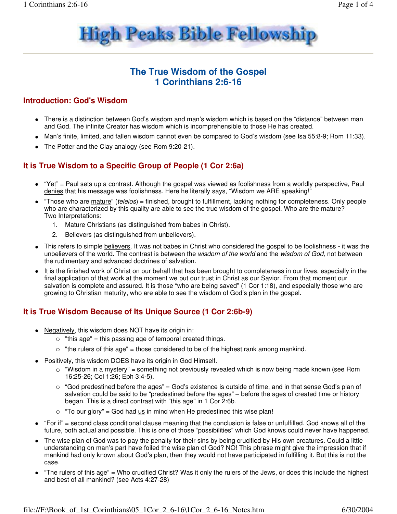

# **The True Wisdom of the Gospel 1 Corinthians 2:6-16**

### **Introduction: God's Wisdom**

- There is a distinction between God's wisdom and man's wisdom which is based on the "distance" between man and God. The infinite Creator has wisdom which is incomprehensible to those He has created.
- Man's finite, limited, and fallen wisdom cannot even be compared to God's wisdom (see Isa 55:8-9; Rom 11:33).
- The Potter and the Clay analogy (see Rom 9:20-21).

### **It is True Wisdom to a Specific Group of People (1 Cor 2:6a)**

- "Yet" = Paul sets up a contrast. Although the gospel was viewed as foolishness from a worldly perspective, Paul denies that his message was foolishness. Here he literally says, "Wisdom we ARE speaking!"
- "Those who are mature" (teleios) = finished, brought to fulfillment, lacking nothing for completeness. Only people who are characterized by this quality are able to see the true wisdom of the gospel. Who are the mature? Two Interpretations:
	- 1. Mature Christians (as distinguished from babes in Christ).
	- 2. Believers (as distinguished from unbelievers).
- This refers to simple believers. It was not babes in Christ who considered the gospel to be foolishness it was the unbelievers of the world. The contrast is between the wisdom of the world and the wisdom of God, not between the rudimentary and advanced doctrines of salvation.
- It is the finished work of Christ on our behalf that has been brought to completeness in our lives, especially in the final application of that work at the moment we put our trust in Christ as our Savior. From that moment our salvation is complete and assured. It is those "who are being saved" (1 Cor 1:18), and especially those who are growing to Christian maturity, who are able to see the wisdom of God's plan in the gospel.

### **It is True Wisdom Because of Its Unique Source (1 Cor 2:6b-9)**

- Negatively, this wisdom does NOT have its origin in:
	- $\circ$  "this age" = this passing age of temporal created things.
	- $\circ$  "the rulers of this age" = those considered to be of the highest rank among mankind.
- Positively, this wisdom DOES have its origin in God Himself.
	- $\circ$  "Wisdom in a mystery" = something not previously revealed which is now being made known (see Rom 16:25-26; Col 1:26; Eph 3:4-5).
	- "God predestined before the ages" = God's existence is outside of time, and in that sense God's plan of salvation could be said to be "predestined before the ages" – before the ages of created time or history began. This is a direct contrast with "this age" in 1 Cor 2:6b.
	- $\circ$  "To our glory" = God had  $us$  in mind when He predestined this wise plan!</u>
- "For if" = second class conditional clause meaning that the conclusion is false or unfulfilled. God knows all of the future, both actual and possible. This is one of those "possibilities" which God knows could never have happened.
- The wise plan of God was to pay the penalty for their sins by being crucified by His own creatures. Could a little understanding on man's part have foiled the wise plan of God? NO! This phrase might give the impression that if mankind had only known about God's plan, then they would not have participated in fulfilling it. But this is not the case.
- "The rulers of this age" = Who crucified Christ? Was it only the rulers of the Jews, or does this include the highest and best of all mankind? (see Acts 4:27-28)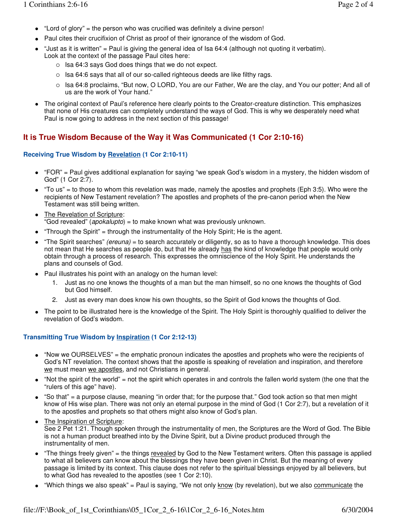- "Lord of glory" = the person who was crucified was definitely a divine person!
- Paul cites their crucifixion of Christ as proof of their ignorance of the wisdom of God.
- "Just as it is written" = Paul is giving the general idea of Isa 64:4 (although not quoting it verbatim). Look at the context of the passage Paul cites here:
	- Isa 64:3 says God does things that we do not expect.
	- $\circ$  lsa 64:6 says that all of our so-called righteous deeds are like filthy rags.
	- $\circ$  Isa 64:8 proclaims, "But now, O LORD, You are our Father, We are the clay, and You our potter; And all of us are the work of Your hand."
- The original context of Paul's reference here clearly points to the Creator-creature distinction. This emphasizes that none of His creatures can completely understand the ways of God. This is why we desperately need what Paul is now going to address in the next section of this passage!

## **It is True Wisdom Because of the Way it Was Communicated (1 Cor 2:10-16)**

#### **Receiving True Wisdom by Revelation (1 Cor 2:10-11)**

- "FOR" = Paul gives additional explanation for saying "we speak God's wisdom in a mystery, the hidden wisdom of God" (1 Cor 2:7).
- $\bullet$  "To us" = to those to whom this revelation was made, namely the apostles and prophets (Eph 3:5). Who were the recipients of New Testament revelation? The apostles and prophets of the pre-canon period when the New Testament was still being written.
- The Revelation of Scripture: "God revealed" (apokalupto) = to make known what was previously unknown.
- "Through the Spirit" = through the instrumentality of the Holy Spirit; He is the agent.
- "The Spirit searches" (ereuna) = to search accurately or diligently, so as to have a thorough knowledge. This does not mean that He searches as people do, but that He already has the kind of knowledge that people would only obtain through a process of research. This expresses the omniscience of the Holy Spirit. He understands the plans and counsels of God.
- Paul illustrates his point with an analogy on the human level:
	- 1. Just as no one knows the thoughts of a man but the man himself, so no one knows the thoughts of God but God himself.
	- 2. Just as every man does know his own thoughts, so the Spirit of God knows the thoughts of God.
- The point to be illustrated here is the knowledge of the Spirit. The Holy Spirit is thoroughly qualified to deliver the revelation of God's wisdom.

#### **Transmitting True Wisdom by Inspiration (1 Cor 2:12-13)**

- "Now we OURSELVES" = the emphatic pronoun indicates the apostles and prophets who were the recipients of God's NT revelation. The context shows that the apostle is speaking of revelation and inspiration, and therefore we must mean we apostles, and not Christians in general.
- "Not the spirit of the world" = not the spirit which operates in and controls the fallen world system (the one that the "rulers of this age" have).
- "So that" = a purpose clause, meaning "in order that; for the purpose that." God took action so that men might know of His wise plan. There was not only an eternal purpose in the mind of God (1 Cor 2:7), but a revelation of it to the apostles and prophets so that others might also know of God's plan.
- The Inspiration of Scripture: See 2 Pet 1:21. Though spoken through the instrumentality of men, the Scriptures are the Word of God. The Bible is not a human product breathed into by the Divine Spirit, but a Divine product produced through the instrumentality of men.
- "The things freely given" = the things revealed by God to the New Testament writers. Often this passage is applied to what all believers can know about the blessings they have been given in Christ. But the meaning of every passage is limited by its context. This clause does not refer to the spiritual blessings enjoyed by all believers, but to what God has revealed to the apostles (see 1 Cor 2:10).
- "Which things we also speak" = Paul is saying, "We not only know (by revelation), but we also communicate the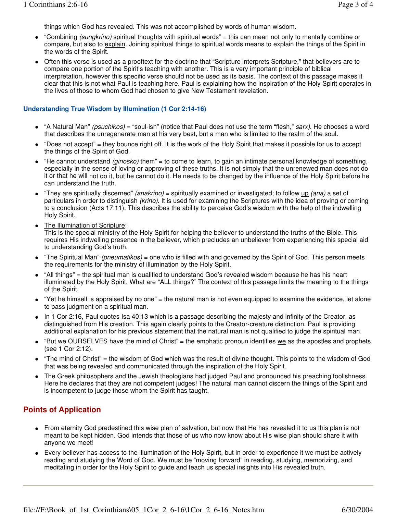things which God has revealed. This was not accomplished by words of human wisdom.

- "Combining (sungkrino) spiritual thoughts with spiritual words" = this can mean not only to mentally combine or compare, but also to explain. Joining spiritual things to spiritual words means to explain the things of the Spirit in the words of the Spirit.
- Often this verse is used as a prooftext for the doctrine that "Scripture interprets Scripture," that believers are to compare one portion of the Spirit's teaching with another. This is a very important principle of biblical interpretation, however this specific verse should not be used as its basis. The context of this passage makes it clear that this is not what Paul is teaching here. Paul is explaining how the inspiration of the Holy Spirit operates in the lives of those to whom God had chosen to give New Testament revelation.

#### **Understanding True Wisdom by Illumination (1 Cor 2:14-16)**

- "A Natural Man" (psuchikos) = "soul-ish" (notice that Paul does not use the term "flesh," sarx). He chooses a word that describes the unregenerate man at his very best, but a man who is limited to the realm of the soul.
- "Does not accept" = they bounce right off. It is the work of the Holy Spirit that makes it possible for us to accept the things of the Spirit of God.
- $\bullet$  "He cannot understand *(ginosko)* them" = to come to learn, to gain an intimate personal knowledge of something, especially in the sense of loving or approving of these truths. It is not simply that the unrenewed man does not do it or that he will not do it, but he cannot do it. He needs to be changed by the influence of the Holy Spirit before he can understand the truth.
- "They are spiritually discerned" (anakrino) = spiritually examined or investigated; to follow up (ana) a set of particulars in order to distinguish (krino). It is used for examining the Scriptures with the idea of proving or coming to a conclusion (Acts 17:11). This describes the ability to perceive God's wisdom with the help of the indwelling Holy Spirit.
- The Illumination of Scripture:

This is the special ministry of the Holy Spirit for helping the believer to understand the truths of the Bible. This requires His indwelling presence in the believer, which precludes an unbeliever from experiencing this special aid to understanding God's truth.

- $\bullet$  "The Spiritual Man" (pneumatikos) = one who is filled with and governed by the Spirit of God. This person meets the requirements for the ministry of illumination by the Holy Spirit.
- "All things" = the spiritual man is qualified to understand God's revealed wisdom because he has his heart illuminated by the Holy Spirit. What are "ALL things?" The context of this passage limits the meaning to the things of the Spirit.
- "Yet he himself is appraised by no one" = the natural man is not even equipped to examine the evidence, let alone to pass judgment on a spiritual man.
- In 1 Cor 2:16, Paul quotes Isa 40:13 which is a passage describing the majesty and infinity of the Creator, as distinguished from His creation. This again clearly points to the Creator-creature distinction. Paul is providing additional explanation for his previous statement that the natural man is not qualified to judge the spiritual man.
- $\bullet$  "But we OURSELVES have the mind of Christ" = the emphatic pronoun identifies we as the apostles and prophets (see 1 Cor 2:12).
- "The mind of Christ" = the wisdom of God which was the result of divine thought. This points to the wisdom of God that was being revealed and communicated through the inspiration of the Holy Spirit.
- The Greek philosophers and the Jewish theologians had judged Paul and pronounced his preaching foolishness. Here he declares that they are not competent judges! The natural man cannot discern the things of the Spirit and is incompetent to judge those whom the Spirit has taught.

### **Points of Application**

- From eternity God predestined this wise plan of salvation, but now that He has revealed it to us this plan is not meant to be kept hidden. God intends that those of us who now know about His wise plan should share it with anyone we meet!
- Every believer has access to the illumination of the Holy Spirit, but in order to experience it we must be actively reading and studying the Word of God. We must be "moving forward" in reading, studying, memorizing, and meditating in order for the Holy Spirit to guide and teach us special insights into His revealed truth.